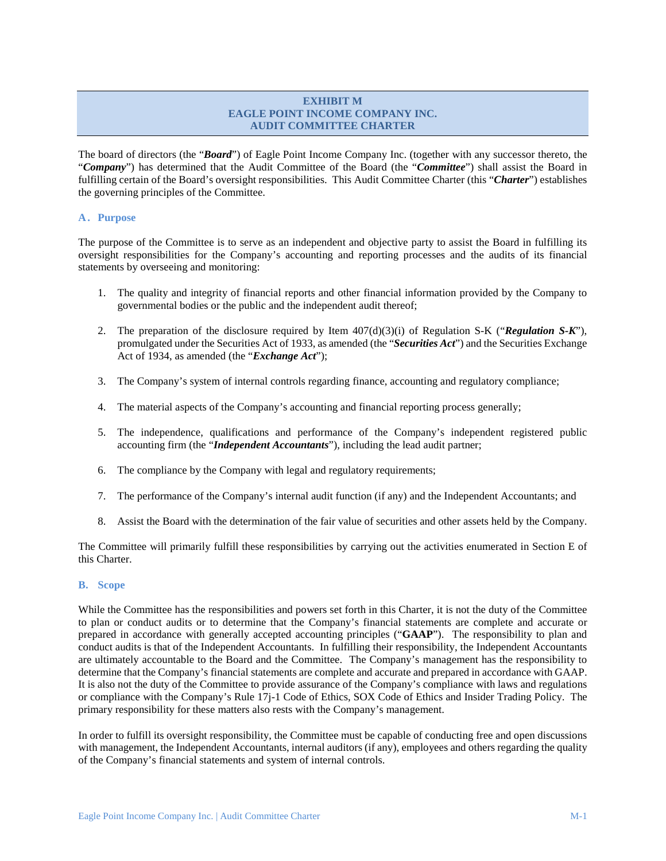# **EXHIBIT M EAGLE POINT INCOME COMPANY INC. AUDIT COMMITTEE CHARTER**

The board of directors (the "*Board*") of Eagle Point Income Company Inc. (together with any successor thereto, the "*Company*") has determined that the Audit Committee of the Board (the "*Committee*") shall assist the Board in fulfilling certain of the Board's oversight responsibilities. This Audit Committee Charter (this "*Charter*") establishes the governing principles of the Committee.

# **A . Purpose**

The purpose of the Committee is to serve as an independent and objective party to assist the Board in fulfilling its oversight responsibilities for the Company's accounting and reporting processes and the audits of its financial statements by overseeing and monitoring:

- 1. The quality and integrity of financial reports and other financial information provided by the Company to governmental bodies or the public and the independent audit thereof;
- 2. The preparation of the disclosure required by Item 407(d)(3)(i) of Regulation S-K ("*Regulation S-K*"), promulgated under the Securities Act of 1933, as amended (the "*Securities Act*") and the Securities Exchange Act of 1934, as amended (the "*Exchange Act*");
- 3. The Company's system of internal controls regarding finance, accounting and regulatory compliance;
- 4. The material aspects of the Company's accounting and financial reporting process generally;
- 5. The independence, qualifications and performance of the Company's independent registered public accounting firm (the "*Independent Accountants*"), including the lead audit partner;
- 6. The compliance by the Company with legal and regulatory requirements;
- 7. The performance of the Company's internal audit function (if any) and the Independent Accountants; and
- 8. Assist the Board with the determination of the fair value of securities and other assets held by the Company.

The Committee will primarily fulfill these responsibilities by carrying out the activities enumerated in Section E of this Charter.

# **B. Scope**

While the Committee has the responsibilities and powers set forth in this Charter, it is not the duty of the Committee to plan or conduct audits or to determine that the Company's financial statements are complete and accurate or prepared in accordance with generally accepted accounting principles ("**GAAP**"). The responsibility to plan and conduct audits is that of the Independent Accountants. In fulfilling their responsibility, the Independent Accountants are ultimately accountable to the Board and the Committee. The Company's management has the responsibility to determine that the Company's financial statements are complete and accurate and prepared in accordance with GAAP. It is also not the duty of the Committee to provide assurance of the Company's compliance with laws and regulations or compliance with the Company's Rule 17j-1 Code of Ethics, SOX Code of Ethics and Insider Trading Policy. The primary responsibility for these matters also rests with the Company's management.

In order to fulfill its oversight responsibility, the Committee must be capable of conducting free and open discussions with management, the Independent Accountants, internal auditors (if any), employees and others regarding the quality of the Company's financial statements and system of internal controls.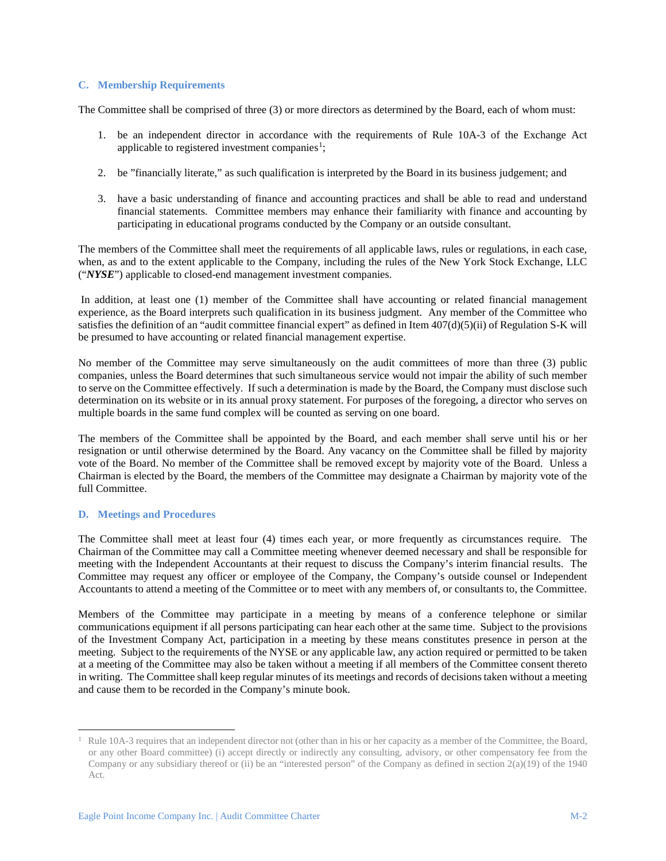## **C. Membership Requirements**

The Committee shall be comprised of three (3) or more directors as determined by the Board, each of whom must:

- 1. be an independent director in accordance with the requirements of Rule 10A-3 of the Exchange Act applicable to registered investment companies<sup>[1](#page-1-0)</sup>;
- 2. be "financially literate," as such qualification is interpreted by the Board in its business judgement; and
- 3. have a basic understanding of finance and accounting practices and shall be able to read and understand financial statements. Committee members may enhance their familiarity with finance and accounting by participating in educational programs conducted by the Company or an outside consultant.

The members of the Committee shall meet the requirements of all applicable laws, rules or regulations, in each case, when, as and to the extent applicable to the Company, including the rules of the New York Stock Exchange, LLC ("*NYSE*") applicable to closed-end management investment companies.

In addition, at least one (1) member of the Committee shall have accounting or related financial management experience, as the Board interprets such qualification in its business judgment. Any member of the Committee who satisfies the definition of an "audit committee financial expert" as defined in Item 407(d)(5)(ii) of Regulation S-K will be presumed to have accounting or related financial management expertise.

No member of the Committee may serve simultaneously on the audit committees of more than three (3) public companies, unless the Board determines that such simultaneous service would not impair the ability of such member to serve on the Committee effectively. If such a determination is made by the Board, the Company must disclose such determination on its website or in its annual proxy statement. For purposes of the foregoing, a director who serves on multiple boards in the same fund complex will be counted as serving on one board.

The members of the Committee shall be appointed by the Board, and each member shall serve until his or her resignation or until otherwise determined by the Board. Any vacancy on the Committee shall be filled by majority vote of the Board. No member of the Committee shall be removed except by majority vote of the Board. Unless a Chairman is elected by the Board, the members of the Committee may designate a Chairman by majority vote of the full Committee.

#### **D. Meetings and Procedures**

The Committee shall meet at least four (4) times each year, or more frequently as circumstances require. The Chairman of the Committee may call a Committee meeting whenever deemed necessary and shall be responsible for meeting with the Independent Accountants at their request to discuss the Company's interim financial results. The Committee may request any officer or employee of the Company, the Company's outside counsel or Independent Accountants to attend a meeting of the Committee or to meet with any members of, or consultants to, the Committee.

Members of the Committee may participate in a meeting by means of a conference telephone or similar communications equipment if all persons participating can hear each other at the same time. Subject to the provisions of the Investment Company Act, participation in a meeting by these means constitutes presence in person at the meeting. Subject to the requirements of the NYSE or any applicable law, any action required or permitted to be taken at a meeting of the Committee may also be taken without a meeting if all members of the Committee consent thereto in writing. The Committee shall keep regular minutes of its meetings and records of decisions taken without a meeting and cause them to be recorded in the Company's minute book.

<span id="page-1-0"></span><sup>&</sup>lt;sup>1</sup> Rule 10A-3 requires that an independent director not (other than in his or her capacity as a member of the Committee, the Board, or any other Board committee) (i) accept directly or indirectly any consulting, advisory, or other compensatory fee from the Company or any subsidiary thereof or (ii) be an "interested person" of the Company as defined in section  $2(a)(19)$  of the 1940 Act.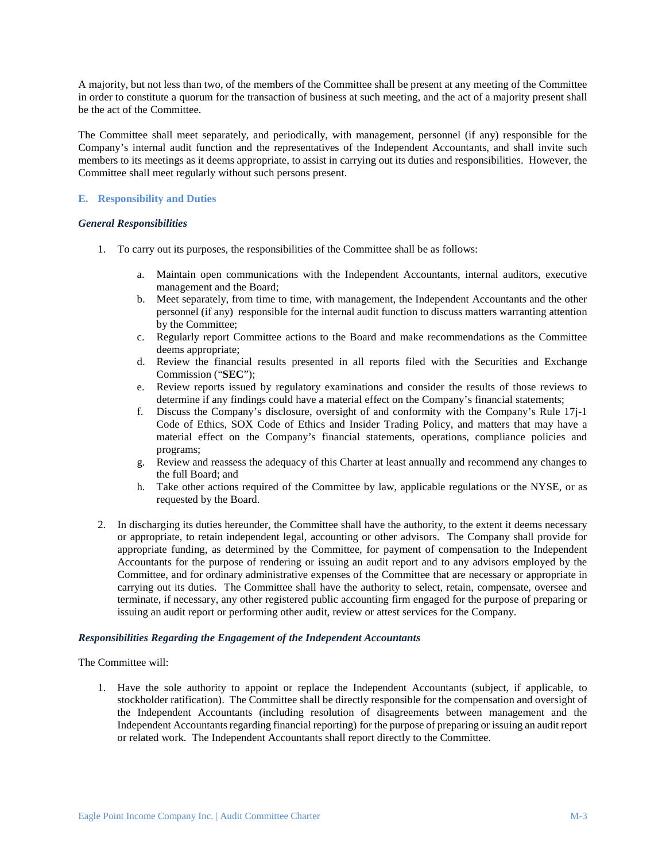A majority, but not less than two, of the members of the Committee shall be present at any meeting of the Committee in order to constitute a quorum for the transaction of business at such meeting, and the act of a majority present shall be the act of the Committee.

The Committee shall meet separately, and periodically, with management, personnel (if any) responsible for the Company's internal audit function and the representatives of the Independent Accountants, and shall invite such members to its meetings as it deems appropriate, to assist in carrying out its duties and responsibilities. However, the Committee shall meet regularly without such persons present.

## **E. Responsibility and Duties**

### *General Responsibilities*

- 1. To carry out its purposes, the responsibilities of the Committee shall be as follows:
	- a. Maintain open communications with the Independent Accountants, internal auditors, executive management and the Board;
	- b. Meet separately, from time to time, with management, the Independent Accountants and the other personnel (if any) responsible for the internal audit function to discuss matters warranting attention by the Committee;
	- c. Regularly report Committee actions to the Board and make recommendations as the Committee deems appropriate;
	- d. Review the financial results presented in all reports filed with the Securities and Exchange Commission ("**SEC**");
	- e. Review reports issued by regulatory examinations and consider the results of those reviews to determine if any findings could have a material effect on the Company's financial statements;
	- f. Discuss the Company's disclosure, oversight of and conformity with the Company's Rule 17j-1 Code of Ethics, SOX Code of Ethics and Insider Trading Policy, and matters that may have a material effect on the Company's financial statements, operations, compliance policies and programs;
	- g. Review and reassess the adequacy of this Charter at least annually and recommend any changes to the full Board; and
	- h. Take other actions required of the Committee by law, applicable regulations or the NYSE, or as requested by the Board.
- 2. In discharging its duties hereunder, the Committee shall have the authority, to the extent it deems necessary or appropriate, to retain independent legal, accounting or other advisors. The Company shall provide for appropriate funding, as determined by the Committee, for payment of compensation to the Independent Accountants for the purpose of rendering or issuing an audit report and to any advisors employed by the Committee, and for ordinary administrative expenses of the Committee that are necessary or appropriate in carrying out its duties. The Committee shall have the authority to select, retain, compensate, oversee and terminate, if necessary, any other registered public accounting firm engaged for the purpose of preparing or issuing an audit report or performing other audit, review or attest services for the Company.

# *Responsibilities Regarding the Engagement of the Independent Accountants*

# The Committee will:

1. Have the sole authority to appoint or replace the Independent Accountants (subject, if applicable, to stockholder ratification). The Committee shall be directly responsible for the compensation and oversight of the Independent Accountants (including resolution of disagreements between management and the Independent Accountants regarding financial reporting) for the purpose of preparing or issuing an audit report or related work. The Independent Accountants shall report directly to the Committee.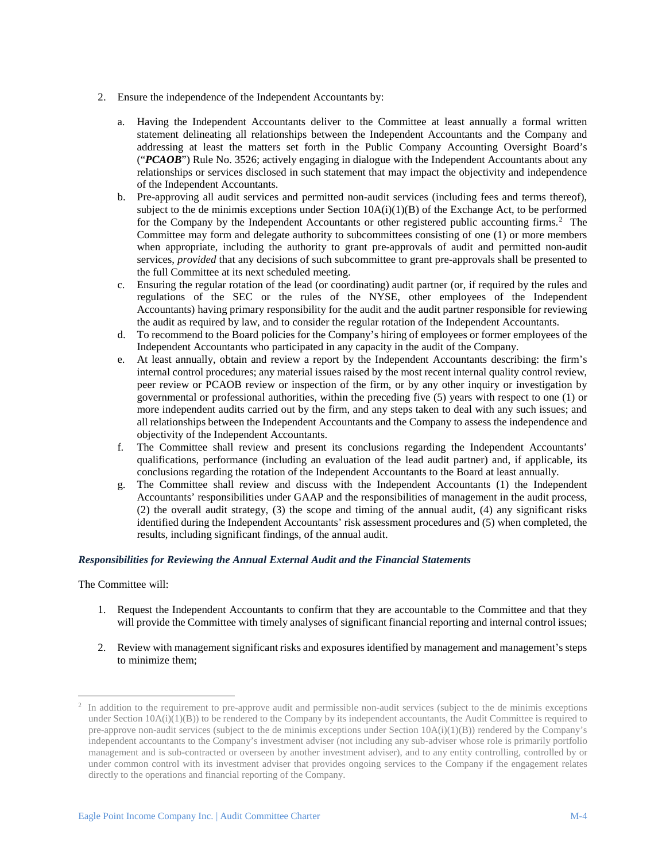- 2. Ensure the independence of the Independent Accountants by:
	- a. Having the Independent Accountants deliver to the Committee at least annually a formal written statement delineating all relationships between the Independent Accountants and the Company and addressing at least the matters set forth in the Public Company Accounting Oversight Board's ("*PCAOB*") Rule No. 3526; actively engaging in dialogue with the Independent Accountants about any relationships or services disclosed in such statement that may impact the objectivity and independence of the Independent Accountants.
	- b. Pre-approving all audit services and permitted non-audit services (including fees and terms thereof), subject to the de minimis exceptions under Section  $10A(i)(1)(B)$  of the Exchange Act, to be performed for the Company by the Independent Accountants or other registered public accounting firms.<sup>[2](#page-3-0)</sup> The Committee may form and delegate authority to subcommittees consisting of one (1) or more members when appropriate, including the authority to grant pre-approvals of audit and permitted non-audit services, *provided* that any decisions of such subcommittee to grant pre-approvals shall be presented to the full Committee at its next scheduled meeting.
	- c. Ensuring the regular rotation of the lead (or coordinating) audit partner (or, if required by the rules and regulations of the SEC or the rules of the NYSE, other employees of the Independent Accountants) having primary responsibility for the audit and the audit partner responsible for reviewing the audit as required by law, and to consider the regular rotation of the Independent Accountants.
	- d. To recommend to the Board policies for the Company's hiring of employees or former employees of the Independent Accountants who participated in any capacity in the audit of the Company.
	- e. At least annually, obtain and review a report by the Independent Accountants describing: the firm's internal control procedures; any material issues raised by the most recent internal quality control review, peer review or PCAOB review or inspection of the firm, or by any other inquiry or investigation by governmental or professional authorities, within the preceding five (5) years with respect to one (1) or more independent audits carried out by the firm, and any steps taken to deal with any such issues; and all relationships between the Independent Accountants and the Company to assess the independence and objectivity of the Independent Accountants.
	- f. The Committee shall review and present its conclusions regarding the Independent Accountants' qualifications, performance (including an evaluation of the lead audit partner) and, if applicable, its conclusions regarding the rotation of the Independent Accountants to the Board at least annually.
	- g. The Committee shall review and discuss with the Independent Accountants (1) the Independent Accountants' responsibilities under GAAP and the responsibilities of management in the audit process, (2) the overall audit strategy, (3) the scope and timing of the annual audit, (4) any significant risks identified during the Independent Accountants' risk assessment procedures and (5) when completed, the results, including significant findings, of the annual audit.

# *Responsibilities for Reviewing the Annual External Audit and the Financial Statements*

#### The Committee will:

- 1. Request the Independent Accountants to confirm that they are accountable to the Committee and that they will provide the Committee with timely analyses of significant financial reporting and internal control issues;
- 2. Review with management significant risks and exposures identified by management and management's steps to minimize them;

<span id="page-3-0"></span> <sup>2</sup> In addition to the requirement to pre-approve audit and permissible non-audit services (subject to the de minimis exceptions under Section  $10A(i)(1)(B)$ ) to be rendered to the Company by its independent accountants, the Audit Committee is required to pre-approve non-audit services (subject to the de minimis exceptions under Section 10A(i)(1)(B)) rendered by the Company's independent accountants to the Company's investment adviser (not including any sub-adviser whose role is primarily portfolio management and is sub-contracted or overseen by another investment adviser), and to any entity controlling, controlled by or under common control with its investment adviser that provides ongoing services to the Company if the engagement relates directly to the operations and financial reporting of the Company.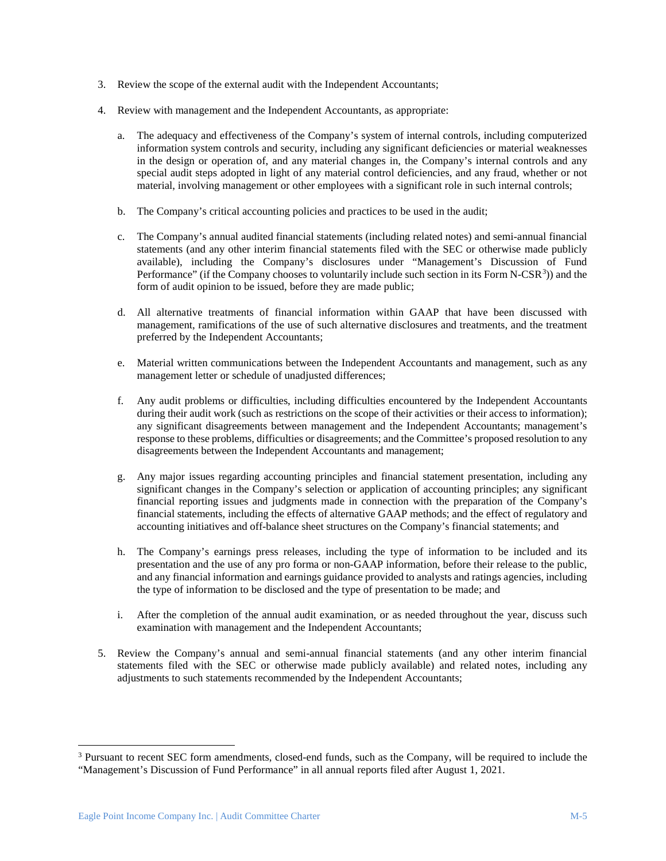- 3. Review the scope of the external audit with the Independent Accountants;
- 4. Review with management and the Independent Accountants, as appropriate:
	- a. The adequacy and effectiveness of the Company's system of internal controls, including computerized information system controls and security, including any significant deficiencies or material weaknesses in the design or operation of, and any material changes in, the Company's internal controls and any special audit steps adopted in light of any material control deficiencies, and any fraud, whether or not material, involving management or other employees with a significant role in such internal controls;
	- b. The Company's critical accounting policies and practices to be used in the audit;
	- c. The Company's annual audited financial statements (including related notes) and semi-annual financial statements (and any other interim financial statements filed with the SEC or otherwise made publicly available), including the Company's disclosures under "Management's Discussion of Fund Performance" (if the Company chooses to voluntarily include such section in its Form N-CSR<sup>[3](#page-4-0)</sup>)) and the form of audit opinion to be issued, before they are made public;
	- d. All alternative treatments of financial information within GAAP that have been discussed with management, ramifications of the use of such alternative disclosures and treatments, and the treatment preferred by the Independent Accountants;
	- e. Material written communications between the Independent Accountants and management, such as any management letter or schedule of unadjusted differences;
	- f. Any audit problems or difficulties, including difficulties encountered by the Independent Accountants during their audit work (such as restrictions on the scope of their activities or their access to information); any significant disagreements between management and the Independent Accountants; management's response to these problems, difficulties or disagreements; and the Committee's proposed resolution to any disagreements between the Independent Accountants and management;
	- g. Any major issues regarding accounting principles and financial statement presentation, including any significant changes in the Company's selection or application of accounting principles; any significant financial reporting issues and judgments made in connection with the preparation of the Company's financial statements, including the effects of alternative GAAP methods; and the effect of regulatory and accounting initiatives and off-balance sheet structures on the Company's financial statements; and
	- h. The Company's earnings press releases, including the type of information to be included and its presentation and the use of any pro forma or non-GAAP information, before their release to the public, and any financial information and earnings guidance provided to analysts and ratings agencies, including the type of information to be disclosed and the type of presentation to be made; and
	- i. After the completion of the annual audit examination, or as needed throughout the year, discuss such examination with management and the Independent Accountants;
- 5. Review the Company's annual and semi-annual financial statements (and any other interim financial statements filed with the SEC or otherwise made publicly available) and related notes, including any adjustments to such statements recommended by the Independent Accountants;

<span id="page-4-0"></span> <sup>3</sup> Pursuant to recent SEC form amendments, closed-end funds, such as the Company, will be required to include the "Management's Discussion of Fund Performance" in all annual reports filed after August 1, 2021.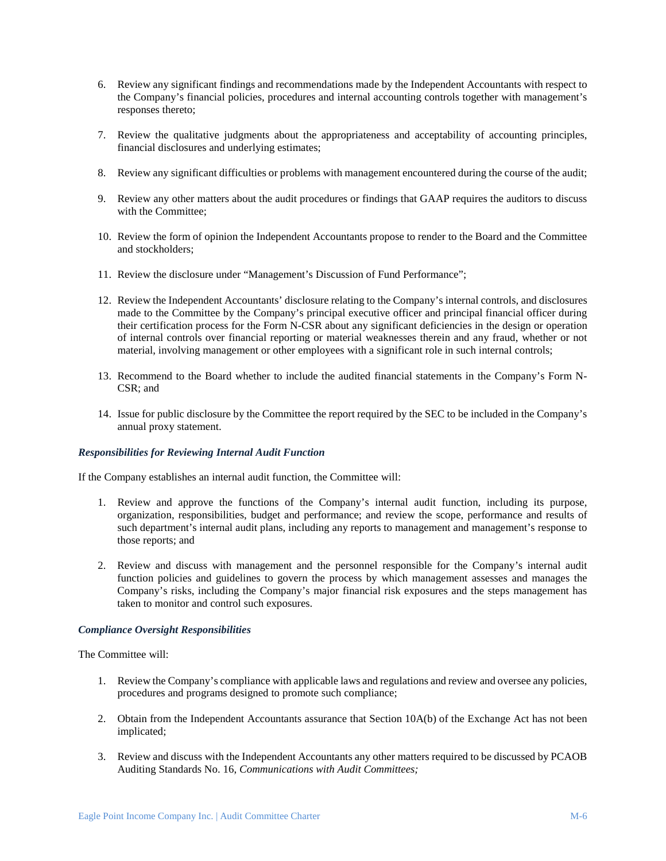- 6. Review any significant findings and recommendations made by the Independent Accountants with respect to the Company's financial policies, procedures and internal accounting controls together with management's responses thereto;
- 7. Review the qualitative judgments about the appropriateness and acceptability of accounting principles, financial disclosures and underlying estimates;
- 8. Review any significant difficulties or problems with management encountered during the course of the audit;
- 9. Review any other matters about the audit procedures or findings that GAAP requires the auditors to discuss with the Committee;
- 10. Review the form of opinion the Independent Accountants propose to render to the Board and the Committee and stockholders;
- 11. Review the disclosure under "Management's Discussion of Fund Performance";
- 12. Review the Independent Accountants' disclosure relating to the Company's internal controls, and disclosures made to the Committee by the Company's principal executive officer and principal financial officer during their certification process for the Form N-CSR about any significant deficiencies in the design or operation of internal controls over financial reporting or material weaknesses therein and any fraud, whether or not material, involving management or other employees with a significant role in such internal controls;
- 13. Recommend to the Board whether to include the audited financial statements in the Company's Form N-CSR; and
- 14. Issue for public disclosure by the Committee the report required by the SEC to be included in the Company's annual proxy statement.

### *Responsibilities for Reviewing Internal Audit Function*

If the Company establishes an internal audit function, the Committee will:

- 1. Review and approve the functions of the Company's internal audit function, including its purpose, organization, responsibilities, budget and performance; and review the scope, performance and results of such department's internal audit plans, including any reports to management and management's response to those reports; and
- 2. Review and discuss with management and the personnel responsible for the Company's internal audit function policies and guidelines to govern the process by which management assesses and manages the Company's risks, including the Company's major financial risk exposures and the steps management has taken to monitor and control such exposures.

### *Compliance Oversight Responsibilities*

The Committee will:

- 1. Review the Company's compliance with applicable laws and regulations and review and oversee any policies, procedures and programs designed to promote such compliance;
- 2. Obtain from the Independent Accountants assurance that Section 10A(b) of the Exchange Act has not been implicated;
- 3. Review and discuss with the Independent Accountants any other matters required to be discussed by PCAOB Auditing Standards No. 16, *Communications with Audit Committees;*